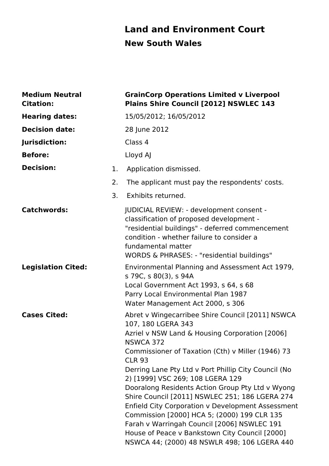# **Land and Environment Court New South Wales**

| <b>Medium Neutral</b><br><b>Citation:</b> |    | <b>GrainCorp Operations Limited v Liverpool</b><br>Plains Shire Council [2012] NSWLEC 143                                                                                                                                                                                                                                                                                                                                                                                                                                                                                                                                                                                 |
|-------------------------------------------|----|---------------------------------------------------------------------------------------------------------------------------------------------------------------------------------------------------------------------------------------------------------------------------------------------------------------------------------------------------------------------------------------------------------------------------------------------------------------------------------------------------------------------------------------------------------------------------------------------------------------------------------------------------------------------------|
| <b>Hearing dates:</b>                     |    | 15/05/2012; 16/05/2012                                                                                                                                                                                                                                                                                                                                                                                                                                                                                                                                                                                                                                                    |
| <b>Decision date:</b>                     |    | 28 June 2012                                                                                                                                                                                                                                                                                                                                                                                                                                                                                                                                                                                                                                                              |
| Jurisdiction:                             |    | Class 4                                                                                                                                                                                                                                                                                                                                                                                                                                                                                                                                                                                                                                                                   |
| <b>Before:</b>                            |    | Lloyd AJ                                                                                                                                                                                                                                                                                                                                                                                                                                                                                                                                                                                                                                                                  |
| <b>Decision:</b>                          | 1. | Application dismissed.                                                                                                                                                                                                                                                                                                                                                                                                                                                                                                                                                                                                                                                    |
|                                           | 2. | The applicant must pay the respondents' costs.                                                                                                                                                                                                                                                                                                                                                                                                                                                                                                                                                                                                                            |
|                                           | 3. | Exhibits returned.                                                                                                                                                                                                                                                                                                                                                                                                                                                                                                                                                                                                                                                        |
| <b>Catchwords:</b>                        |    | JUDICIAL REVIEW: - development consent -<br>classification of proposed development -<br>"residential buildings" - deferred commencement<br>condition - whether failure to consider a<br>fundamental matter<br>WORDS & PHRASES: - "residential buildings"                                                                                                                                                                                                                                                                                                                                                                                                                  |
| <b>Legislation Cited:</b>                 |    | Environmental Planning and Assessment Act 1979,<br>s 79C, s 80(3), s 94A<br>Local Government Act 1993, s 64, s 68<br>Parry Local Environmental Plan 1987<br>Water Management Act 2000, s 306                                                                                                                                                                                                                                                                                                                                                                                                                                                                              |
| <b>Cases Cited:</b>                       |    | Abret v Wingecarribee Shire Council [2011] NSWCA<br>107, 180 LGERA 343<br>Azriel v NSW Land & Housing Corporation [2006]<br><b>NSWCA 372</b><br>Commissioner of Taxation (Cth) v Miller (1946) 73<br><b>CLR 93</b><br>Derring Lane Pty Ltd v Port Phillip City Council (No<br>2) [1999] VSC 269; 108 LGERA 129<br>Dooralong Residents Action Group Pty Ltd v Wyong<br>Shire Council [2011] NSWLEC 251; 186 LGERA 274<br>Enfield City Corporation v Development Assessment<br>Commission [2000] HCA 5; (2000) 199 CLR 135<br>Farah v Warringah Council [2006] NSWLEC 191<br>House of Peace v Bankstown City Council [2000]<br>NSWCA 44; (2000) 48 NSWLR 498; 106 LGERA 440 |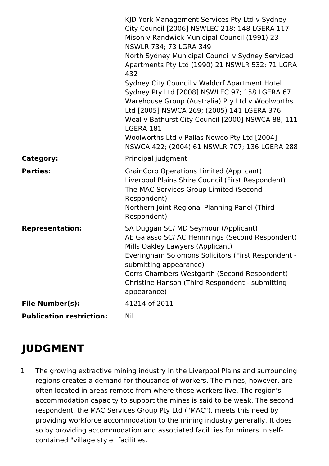|                                 | KJD York Management Services Pty Ltd v Sydney<br>City Council [2006] NSWLEC 218; 148 LGERA 117<br>Mison v Randwick Municipal Council (1991) 23<br>NSWLR 734; 73 LGRA 349<br>North Sydney Municipal Council v Sydney Serviced<br>Apartments Pty Ltd (1990) 21 NSWLR 532; 71 LGRA<br>432<br>Sydney City Council v Waldorf Apartment Hotel<br>Sydney Pty Ltd [2008] NSWLEC 97; 158 LGERA 67<br>Warehouse Group (Australia) Pty Ltd v Woolworths<br>Ltd [2005] NSWCA 269; (2005) 141 LGERA 376<br>Weal v Bathurst City Council [2000] NSWCA 88; 111<br>LGERA 181<br>Woolworths Ltd v Pallas Newco Pty Ltd [2004]<br>NSWCA 422; (2004) 61 NSWLR 707; 136 LGERA 288 |
|---------------------------------|---------------------------------------------------------------------------------------------------------------------------------------------------------------------------------------------------------------------------------------------------------------------------------------------------------------------------------------------------------------------------------------------------------------------------------------------------------------------------------------------------------------------------------------------------------------------------------------------------------------------------------------------------------------|
| <b>Category:</b>                | Principal judgment                                                                                                                                                                                                                                                                                                                                                                                                                                                                                                                                                                                                                                            |
| <b>Parties:</b>                 | <b>GrainCorp Operations Limited (Applicant)</b><br>Liverpool Plains Shire Council (First Respondent)<br>The MAC Services Group Limited (Second<br>Respondent)<br>Northern Joint Regional Planning Panel (Third<br>Respondent)                                                                                                                                                                                                                                                                                                                                                                                                                                 |
| <b>Representation:</b>          | SA Duggan SC/ MD Seymour (Applicant)<br>AE Galasso SC/ AC Hemmings (Second Respondent)<br>Mills Oakley Lawyers (Applicant)<br>Everingham Solomons Solicitors (First Respondent -<br>submitting appearance)<br>Corrs Chambers Westgarth (Second Respondent)<br>Christine Hanson (Third Respondent - submitting<br>appearance)                                                                                                                                                                                                                                                                                                                                  |
| <b>File Number(s):</b>          | 41214 of 2011                                                                                                                                                                                                                                                                                                                                                                                                                                                                                                                                                                                                                                                 |
| <b>Publication restriction:</b> | Nil                                                                                                                                                                                                                                                                                                                                                                                                                                                                                                                                                                                                                                                           |

# **JUDGMENT**

1 The growing extractive mining industry in the Liverpool Plains and surrounding regions creates a demand for thousands of workers. The mines, however, are often located in areas remote from where those workers live. The region's accommodation capacity to support the mines is said to be weak. The second respondent, the MAC Services Group Pty Ltd ("MAC"), meets this need by providing workforce accommodation to the mining industry generally. It does so by providing accommodation and associated facilities for miners in selfcontained "village style" facilities.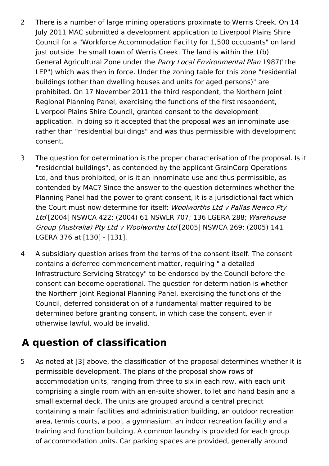- 2 There is a number of large mining operations proximate to Werris Creek. On 14 July 2011 MAC submitted a development application to Liverpool Plains Shire Council for a "Workforce Accommodation Facility for 1,500 occupants" on land just outside the small town of Werris Creek. The land is within the 1(b) General Agricultural Zone under the Parry Local Environmental Plan 1987("the LEP") which was then in force. Under the zoning table for this zone "residential buildings (other than dwelling houses and units for aged persons)" are prohibited. On 17 November 2011 the third respondent, the Northern Joint Regional Planning Panel, exercising the functions of the first respondent, Liverpool Plains Shire Council, granted consent to the development application. In doing so it accepted that the proposal was an innominate use rather than "residential buildings" and was thus permissible with development consent.
- 3 The question for determination is the proper characterisation of the proposal. Is it "residential buildings", as contended by the applicant GrainCorp Operations Ltd, and thus prohibited, or is it an innominate use and thus permissible, as contended by MAC? Since the answer to the question determines whether the Planning Panel had the power to grant consent, it is a jurisdictional fact which the Court must now determine for itself: Woolworths Ltd v Pallas Newco Pty Ltd [2004] NSWCA 422; (2004) 61 NSWLR 707; 136 LGERA 288; Warehouse Group (Australia) Pty Ltd <sup>v</sup> Woolworths Ltd [2005] NSWCA 269; (2005) 141 LGERA 376 at [130] - [131].
- 4 A subsidiary question arises from the terms of the consent itself. The consent contains a deferred commencement matter, requiring " a detailed Infrastructure Servicing Strategy" to be endorsed by the Council before the consent can become operational. The question for determination is whether the Northern Joint Regional Planning Panel, exercising the functions of the Council, deferred consideration of a fundamental matter required to be determined before granting consent, in which case the consent, even if otherwise lawful, would be invalid.

# **A question of classification**

5 As noted at [3] above, the classification of the proposal determines whether it is permissible development. The plans of the proposal show rows of accommodation units, ranging from three to six in each row, with each unit comprising a single room with an en-suite shower, toilet and hand basin and a small external deck. The units are grouped around a central precinct containing a main facilities and administration building, an outdoor recreation area, tennis courts, a pool, a gymnasium, an indoor recreation facility and a training and function building. A common laundry is provided for each group of accommodation units. Car parking spaces are provided, generally around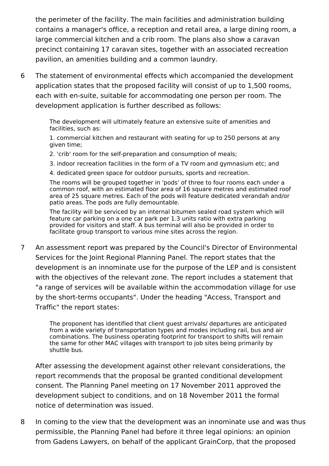the perimeter of the facility. The main facilities and administration building contains a manager's office, a reception and retail area, a large dining room, a large commercial kitchen and a crib room. The plans also show a caravan precinct containing 17 caravan sites, together with an associated recreation pavilion, an amenities building and a common laundry.

6 The statement of environmental effects which accompanied the development application states that the proposed facility will consist of up to 1,500 rooms, each with en-suite, suitable for accommodating one person per room. The development application is further described as follows:

> The development will ultimately feature an extensive suite of amenities and facilities, such as:

1. commercial kitchen and restaurant with seating for up to 250 persons at any given time;

- 2. 'crib' room for the self-preparation and consumption of meals;
- 3. indoor recreation facilities in the form of a TV room and gymnasium etc; and
- 4. dedicated green space for outdoor pursuits, sports and recreation.

The rooms will be grouped together in 'pods' of three to four rooms each under a common roof, with an estimated floor area of 16 square metres and estimated roof area of 25 square metres. Each of the pods will feature dedicated verandah and/or patio areas. The pods are fully demountable.

The facility will be serviced by an internal bitumen sealed road system which will feature car parking on a one car park per 1.3 units ratio with extra parking provided for visitors and staff. A bus terminal will also be provided in order to facilitate group transport to various mine sites across the region.

7 An assessment report was prepared by the Council's Director of Environmental Services for the Joint Regional Planning Panel. The report states that the development is an innominate use for the purpose of the LEP and is consistent with the objectives of the relevant zone. The report includes a statement that "a range of services will be available within the accommodation village for use by the short-terms occupants". Under the heading "Access, Transport and Traffic" the report states:

> The proponent has identified that client guest arrivals/ departures are anticipated from a wide variety of transportation types and modes including rail, bus and air combinations. The business operating footprint for transport to shifts will remain the same for other MAC villages with transport to job sites being primarily by shuttle bus.

After assessing the development against other relevant considerations, the report recommends that the proposal be granted conditional development consent. The Planning Panel meeting on 17 November 2011 approved the development subject to conditions, and on 18 November 2011 the formal notice of determination was issued.

8 In coming to the view that the development was an innominate use and was thus permissible, the Planning Panel had before it three legal opinions: an opinion from Gadens Lawyers, on behalf of the applicant GrainCorp, that the proposed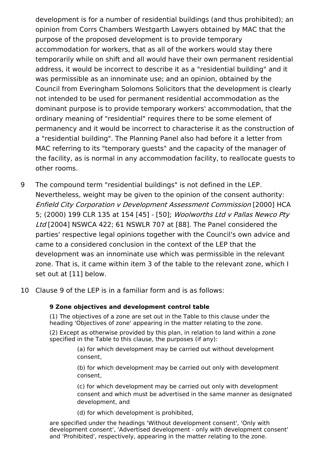development is for a number of residential buildings (and thus prohibited); an opinion from Corrs Chambers Westgarth Lawyers obtained by MAC that the purpose of the proposed development is to provide temporary accommodation for workers, that as all of the workers would stay there temporarily while on shift and all would have their own permanent residential address, it would be incorrect to describe it as a "residential building" and it was permissible as an innominate use; and an opinion, obtained by the Council from Everingham Solomons Solicitors that the development is clearly not intended to be used for permanent residential accommodation as the dominant purpose is to provide temporary workers' accommodation, that the ordinary meaning of "residential" requires there to be some element of permanency and it would be incorrect to characterise it as the construction of a "residential building". The Planning Panel also had before it a letter from MAC referring to its "temporary guests" and the capacity of the manager of the facility, as is normal in any accommodation facility, to reallocate guests to other rooms.

- 9 The compound term "residential buildings" is not defined in the LEP. Nevertheless, weight may be given to the opinion of the consent authority: Enfield City Corporation <sup>v</sup> Development Assessment Commission [2000] HCA 5; (2000) 199 CLR 135 at 154 [45] - [50]; Woolworths Ltd v Pallas Newco Pty Ltd [2004] NSWCA 422; 61 NSWLR 707 at [88]. The Panel considered the parties' respective legal opinions together with the Council's own advice and came to a considered conclusion in the context of the LEP that the development was an innominate use which was permissible in the relevant zone. That is, it came within item 3 of the table to the relevant zone, which I set out at [11] below.
- 10 Clause 9 of the LEP is in a familiar form and is as follows:

#### **9 Zone objectives and development control table**

(1) The objectives of a zone are set out in the Table to this clause under the heading 'Objectives of zone' appearing in the matter relating to the zone.

(2) Except as otherwise provided by this plan, in relation to land within a zone specified in the Table to this clause, the purposes (if any):

> (a) for which development may be carried out without development consent,

(b) for which development may be carried out only with development consent,

(c) for which development may be carried out only with development consent and which must be advertised in the same manner as designated development, and

(d) for which development is prohibited,

are specified under the headings 'Without development consent', 'Only with development consent', 'Advertised development - only with development consent' and 'Prohibited', respectively, appearing in the matter relating to the zone.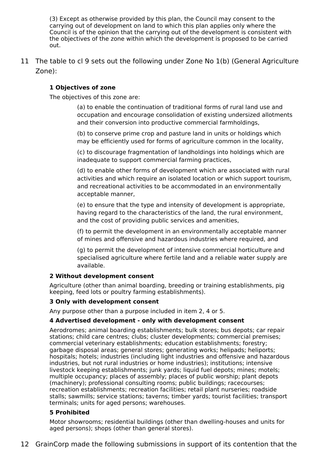(3) Except as otherwise provided by this plan, the Council may consent to the carrying out of development on land to which this plan applies only where the Council is of the opinion that the carrying out of the development is consistent with the objectives of the zone within which the development is proposed to be carried out.

11 The table to cl 9 sets out the following under Zone No 1(b) (General Agriculture Zone):

#### **1 Objectives of zone**

The objectives of this zone are:

(a) to enable the continuation of traditional forms of rural land use and occupation and encourage consolidation of existing undersized allotments and their conversion into productive commercial farmholdings,

(b) to conserve prime crop and pasture land in units or holdings which may be efficiently used for forms of agriculture common in the locality,

(c) to discourage fragmentation of landholdings into holdings which are inadequate to support commercial farming practices,

(d) to enable other forms of development which are associated with rural activities and which require an isolated location or which support tourism, and recreational activities to be accommodated in an environmentally acceptable manner,

(e) to ensure that the type and intensity of development is appropriate, having regard to the characteristics of the land, the rural environment, and the cost of providing public services and amenities,

(f) to permit the development in an environmentally acceptable manner of mines and offensive and hazardous industries where required, and

(g) to permit the development of intensive commercial horticulture and specialised agriculture where fertile land and a reliable water supply are available.

#### **2 Without development consent**

Agriculture (other than animal boarding, breeding or training establishments, pig keeping, feed lots or poultry farming establishments).

#### **3 Only with development consent**

Any purpose other than a purpose included in item 2, 4 or 5.

#### **4 Advertised development - only with development consent**

Aerodromes; animal boarding establishments; bulk stores; bus depots; car repair stations; child care centres; clubs; cluster developments; commercial premises; commercial veterinary establishments; education establishments; forestry; garbage disposal areas; general stores; generating works; helipads; heliports; hospitals; hotels; industries (including light industries and offensive and hazardous industries, but not rural industries or home industries); institutions; intensive livestock keeping establishments; junk yards; liquid fuel depots; mines; motels; multiple occupancy; places of assembly; places of public worship; plant depots (machinery); professional consulting rooms; public buildings; racecourses; recreation establishments; recreation facilities; retail plant nurseries; roadside stalls; sawmills; service stations; taverns; timber yards; tourist facilities; transport terminals; units for aged persons; warehouses.

#### **5 Prohibited**

Motor showrooms; residential buildings (other than dwelling-houses and units for aged persons); shops (other than general stores).

12 GrainCorp made the following submissions in support of its contention that the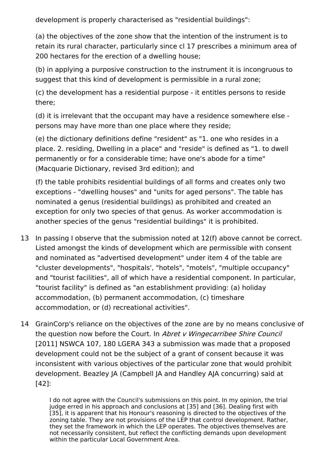development is properly characterised as "residential buildings":

(a) the objectives of the zone show that the intention of the instrument is to retain its rural character, particularly since cl 17 prescribes a minimum area of 200 hectares for the erection of a dwelling house;

(b) in applying a purposive construction to the instrument it is incongruous to suggest that this kind of development is permissible in a rural zone;

(c) the development has a residential purpose - it entitles persons to reside there;

(d) it is irrelevant that the occupant may have a residence somewhere else persons may have more than one place where they reside;

(e) the dictionary definitions define "resident" as "1. one who resides in a place. 2. residing, Dwelling in a place" and "reside" is defined as "1. to dwell permanently or for a considerable time; have one's abode for a time" (Macquarie Dictionary, revised 3rd edition); and

(f) the table prohibits residential buildings of all forms and creates only two exceptions - "dwelling houses" and "units for aged persons". The table has nominated a genus (residential buildings) as prohibited and created an exception for only two species of that genus. As worker accommodation is another species of the genus "residential buildings" it is prohibited.

- 13 In passing I observe that the submission noted at 12(f) above cannot be correct. Listed amongst the kinds of development which are permissible with consent and nominated as "advertised development" under item 4 of the table are "cluster developments", "hospitals', "hotels", "motels", "multiple occupancy" and "tourist facilities", all of which have a residential component. In particular, "tourist facility" is defined as "an establishment providing: (a) holiday accommodation, (b) permanent accommodation, (c) timeshare accommodation, or (d) recreational activities".
- 14 GrainCorp's reliance on the objectives of the zone are by no means conclusive of the question now before the Court. In Abret v Wingecarribee Shire Council [2011] NSWCA 107, 180 LGERA 343 a submission was made that a proposed development could not be the subject of a grant of consent because it was inconsistent with various objectives of the particular zone that would prohibit development. Beazley JA (Campbell JA and Handley AJA concurring) said at [42]:

I do not agree with the Council's submissions on this point. In my opinion, the trial judge erred in his approach and conclusions at [35] and [36]. Dealing first with [35], it is apparent that his Honour's reasoning is directed to the objectives of the zoning table. They are not provisions of the LEP that control development. Rather, they set the framework in which the LEP operates. The objectives themselves are not necessarily consistent, but reflect the conflicting demands upon development within the particular Local Government Area.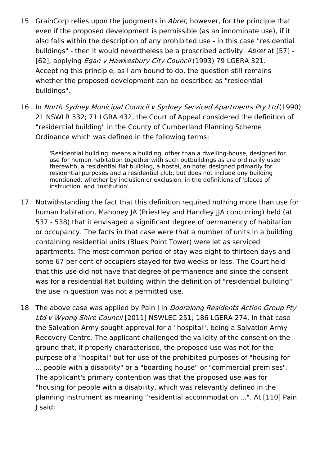- 15 GrainCorp relies upon the judgments in *Abret*, however, for the principle that even if the proposed development is permissible (as an innominate use), if it also falls within the description of any prohibited use - in this case "residential buildings" - then it would nevertheless be a proscribed activity: Abret at [57] -[62], applying *Egan v Hawkesbury City Council* (1993) 79 LGERA 321. Accepting this principle, as I am bound to do, the question still remains whether the proposed development can be described as "residential buildings".
- 16 In North Sydney Municipal Council v Sydney Serviced Apartments Pty Ltd(1990) 21 NSWLR 532; 71 LGRA 432, the Court of Appeal considered the definition of "residential building" in the County of Cumberland Planning Scheme Ordinance which was defined in the following terms:

'Residential building' means a building, other than a dwelling-house, designed for use for human habitation together with such outbuildings as are ordinarily used therewith, a residential flat building, a hostel, an hotel designed primarily for residential purposes and a residential club, but does not include any building mentioned, whether by inclusion or exclusion, in the definitions of 'places of instruction' and 'institution'.

- 17 Notwithstanding the fact that this definition required nothing more than use for human habitation, Mahoney JA (Priestley and Handley JJA concurring) held (at 537 - 538) that it envisaged a significant degree of permanency of habitation or occupancy. The facts in that case were that a number of units in a building containing residential units (Blues Point Tower) were let as serviced apartments. The most common period of stay was eight to thirteen days and some 67 per cent of occupiers stayed for two weeks or less. The Court held that this use did not have that degree of permanence and since the consent was for a residential flat building within the definition of "residential building" the use in question was not a permitted use.
- 18 The above case was applied by Pain J in *Dooralong Residents Action Group Pty* Ltd v Wyong Shire Council [2011] NSWLEC 251; 186 LGERA 274. In that case the Salvation Army sought approval for a "hospital", being a Salvation Army Recovery Centre. The applicant challenged the validity of the consent on the ground that, if properly characterised, the proposed use was not for the purpose of a "hospital" but for use of the prohibited purposes of "housing for ... people with a disability" or a "boarding house" or "commercial premises". The applicant's primary contention was that the proposed use was for "housing for people with a disability, which was relevantly defined in the planning instrument as meaning "residential accommodation ...". At [110] Pain J said: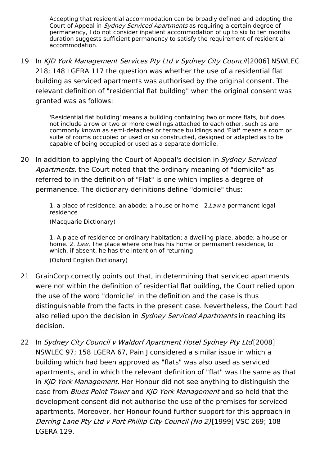Accepting that residential accommodation can be broadly defined and adopting the Court of Appeal in *Sydney Serviced Apartments* as requiring a certain degree of permanency, I do not consider inpatient accommodation of up to six to ten months duration suggests sufficient permanency to satisfy the requirement of residential accommodation.

19 In KJD York Management Services Pty Ltd v Sydney City Council [2006] NSWLEC 218; 148 LGERA 117 the question was whether the use of a residential flat building as serviced apartments was authorised by the original consent. The relevant definition of "residential flat building" when the original consent was granted was as follows:

> 'Residential flat building' means a building containing two or more flats, but does not include a row or two or more dwellings attached to each other, such as are commonly known as semi-detached or terrace buildings and 'Flat' means a room or suite of rooms occupied or used or so constructed, designed or adapted as to be capable of being occupied or used as a separate domicile.

20 In addition to applying the Court of Appeal's decision in *Sydney Serviced* Apartments, the Court noted that the ordinary meaning of "domicile" as referred to in the definition of "Flat" is one which implies a degree of permanence. The dictionary definitions define "domicile" thus:

> 1. a place of residence; an abode; a house or home - 2. Law a permanent legal residence

(Macquarie Dictionary)

1. A place of residence or ordinary habitation; a dwelling-place, abode; a house or home. 2. Law. The place where one has his home or permanent residence, to which, if absent, he has the intention of returning (Oxford English Dictionary)

- 21 GrainCorp correctly points out that, in determining that serviced apartments were not within the definition of residential flat building, the Court relied upon the use of the word "domicile" in the definition and the case is thus distinguishable from the facts in the present case. Nevertheless, the Court had also relied upon the decision in Sydney Serviced Apartments in reaching its decision.
- 22 In Sydney City Council <sup>v</sup> Waldorf Apartment Hotel Sydney Pty Ltd[2008] NSWLEC 97; 158 LGERA 67, Pain J considered a similar issue in which a building which had been approved as "flats" was also used as serviced apartments, and in which the relevant definition of "flat" was the same as that in KJD York Management. Her Honour did not see anything to distinguish the case from Blues Point Tower and KID York Management and so held that the development consent did not authorise the use of the premises for serviced apartments. Moreover, her Honour found further support for this approach in Derring Lane Pty Ltd <sup>v</sup> Port Phillip City Council (No 2)[1999] VSC 269; 108 LGERA 129.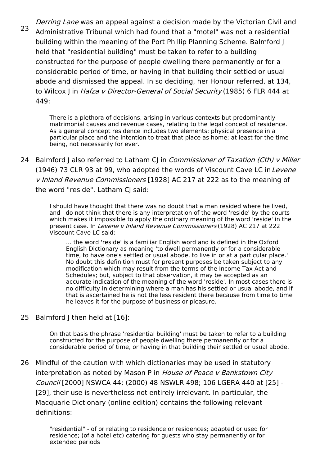23 Derring Lane was an appeal against a decision made by the Victorian Civil and Administrative Tribunal which had found that a "motel" was not a residential building within the meaning of the Port Phillip Planning Scheme. Balmford J held that "residential building" must be taken to refer to a building constructed for the purpose of people dwelling there permanently or for a considerable period of time, or having in that building their settled or usual abode and dismissed the appeal. In so deciding, her Honour referred, at 134, to Wilcox I in Hafza v Director-General of Social Security (1985) 6 FLR 444 at 449:

> There is a plethora of decisions, arising in various contexts but predominantly matrimonial causes and revenue cases, relating to the legal concept of residence. As a general concept residence includes two elements: physical presence in a particular place and the intention to treat that place as home; at least for the time being, not necessarily for ever.

24 Balmford J also referred to Latham CJ in *Commissioner of Taxation (Cth) v Miller* (1946) 73 CLR 93 at 99, who adopted the words of Viscount Cave LC in Levene <sup>v</sup> Inland Revenue Commissioners [1928] AC 217 at 222 as to the meaning of the word "reside". Latham CJ said:

> I should have thought that there was no doubt that a man resided where he lived, and I do not think that there is any interpretation of the word 'reside' by the courts which makes it impossible to apply the ordinary meaning of the word 'reside' in the present case. In Levene <sup>v</sup> Inland Revenue Commissioners (1928) AC 217 at 222 Viscount Cave LC said:

... the word 'reside' is a familiar English word and is defined in the Oxford English Dictionary as meaning 'to dwell permanently or for a considerable time, to have one's settled or usual abode, to live in or at a particular place.' No doubt this definition must for present purposes be taken subject to any modification which may result from the terms of the Income Tax Act and Schedules; but, subject to that observation, it may be accepted as an accurate indication of the meaning of the word 'reside'. In most cases there is no difficulty in determining where a man has his settled or usual abode, and if that is ascertained he is not the less resident there because from time to time he leaves it for the purpose of business or pleasure.

25 Balmford J then held at [16]:

On that basis the phrase 'residential building' must be taken to refer to a building constructed for the purpose of people dwelling there permanently or for a considerable period of time, or having in that building their settled or usual abode.

26 Mindful of the caution with which dictionaries may be used in statutory interpretation as noted by Mason P in House of Peace v Bankstown City Council [2000] NSWCA 44; (2000) 48 NSWLR 498; 106 LGERA 440 at [25] - [29], their use is nevertheless not entirely irrelevant. In particular, the Macquarie Dictionary (online edition) contains the following relevant definitions:

> "residential" - of or relating to residence or residences; adapted or used for residence; (of a hotel etc) catering for guests who stay permanently or for extended periods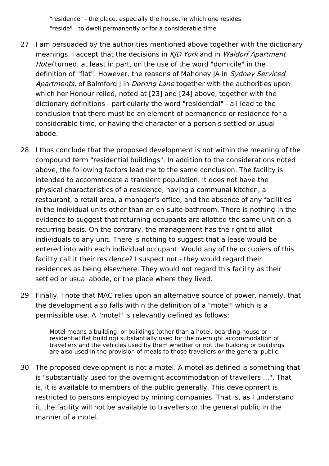"residence" - the place, especially the house, in which one resides "reside" - to dwell permanently or for a considerable time

- 27 I am persuaded by the authorities mentioned above together with the dictionary meanings. I accept that the decisions in KID York and in Waldorf Apartment Hotel turned, at least in part, on the use of the word "domicile" in the definition of "flat". However, the reasons of Mahoney JA in Sydney Serviced Apartments, of Balmford I in Derring Lane together with the authorities upon which her Honour relied, noted at [23] and [24] above, together with the dictionary definitions - particularly the word "residential" - all lead to the conclusion that there must be an element of permanence or residence for a considerable time, or having the character of a person's settled or usual abode.
- 28 I thus conclude that the proposed development is not within the meaning of the compound term "residential buildings". In addition to the considerations noted above, the following factors lead me to the same conclusion. The facility is intended to accommodate a transient population. It does not have the physical characteristics of a residence, having a communal kitchen, a restaurant, a retail area, a manager's office, and the absence of any facilities in the individual units other than an en-suite bathroom. There is nothing in the evidence to suggest that returning occupants are allotted the same unit on a recurring basis. On the contrary, the management has the right to allot individuals to any unit. There is nothing to suggest that a lease would be entered into with each individual occupant. Would any of the occupiers of this facility call it their residence? I suspect not - they would regard their residences as being elsewhere. They would not regard this facility as their settled or usual abode, or the place where they lived.
- 29 Finally, I note that MAC relies upon an alternative source of power, namely, that the development also falls within the definition of a "motel" which is a permissible use. A "motel" is relevantly defined as follows:

Motel means a building, or buildings (other than a hotel, boarding-house or residential flat building) substantially used for the overnight accommodation of travellers and the vehicles used by them whether or not the building or buildings are also used in the provision of meals to those travellers or the general public.

30 The proposed development is not a motel. A motel as defined is something that is "substantially used for the overnight accommodation of travellers ...". That is, it is available to members of the public generally. This development is restricted to persons employed by mining companies. That is, as I understand it, the facility will not be available to travellers or the general public in the manner of a motel.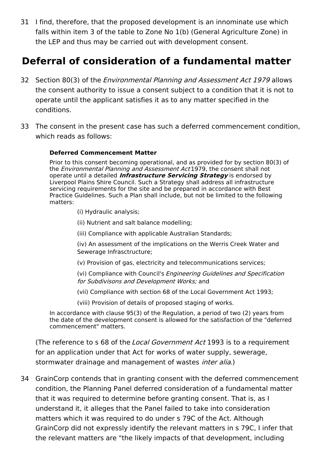31 I find, therefore, that the proposed development is an innominate use which falls within item 3 of the table to Zone No 1(b) (General Agriculture Zone) in the LEP and thus may be carried out with development consent.

### **Deferral of consideration of a fundamental matter**

- 32 Section 80(3) of the *Environmental Planning and Assessment Act 1979* allows the consent authority to issue a consent subject to a condition that it is not to operate until the applicant satisfies it as to any matter specified in the conditions.
- 33 The consent in the present case has such a deferred commencement condition, which reads as follows:

#### **Deferred Commencement Matter**

Prior to this consent becoming operational, and as provided for by section 80(3) of the *Environmental Planning and Assessment Act* 1979, the consent shall not operate until a detailed **Infrastructure Servicing Strategy** is endorsed by Liverpool Plains Shire Council. Such a Strategy shall address all infrastructure servicing requirements for the site and be prepared in accordance with Best Practice Guidelines. Such a Plan shall include, but not be limited to the following matters:

(i) Hydraulic analysis;

(ii) Nutrient and salt balance modelling;

(iii) Compliance with applicable Australian Standards;

(iv) An assessment of the implications on the Werris Creek Water and Sewerage Infrasctructure;

(v) Provision of gas, electricity and telecommunications services;

(vi) Compliance with Council's Engineering Guidelines and Specification for Subdivisons and Development Works; and

(vii) Compliance with section 68 of the Local Government Act 1993;

(viii) Provision of details of proposed staging of works.

In accordance with clause 95(3) of the Regulation, a period of two (2) years from the date of the development consent is allowed for the satisfaction of the "deferred commencement" matters.

(The reference to s 68 of the *Local Government Act* 1993 is to a requirement for an application under that Act for works of water supply, sewerage, stormwater drainage and management of wastes *inter alia.*)

34 GrainCorp contends that in granting consent with the deferred commencement condition, the Planning Panel deferred consideration of a fundamental matter that it was required to determine before granting consent. That is, as I understand it, it alleges that the Panel failed to take into consideration matters which it was required to do under s 79C of the Act. Although GrainCorp did not expressly identify the relevant matters in s 79C, I infer that the relevant matters are "the likely impacts of that development, including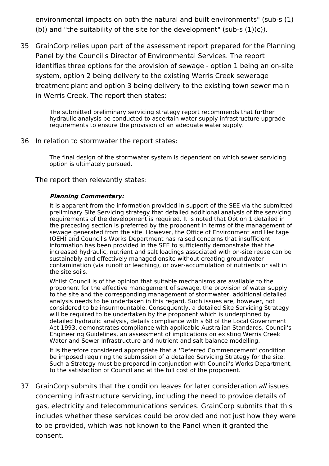environmental impacts on both the natural and built environments" (sub-s (1) (b)) and "the suitability of the site for the development" (sub-s  $(1)(c)$ ).

35 GrainCorp relies upon part of the assessment report prepared for the Planning Panel by the Council's Director of Environmental Services. The report identifies three options for the provision of sewage - option 1 being an on-site system, option 2 being delivery to the existing Werris Creek sewerage treatment plant and option 3 being delivery to the existing town sewer main in Werris Creek. The report then states:

The submitted preliminary servicing strategy report recommends that further hydraulic analysis be conducted to ascertain water supply infrastructure upgrade requirements to ensure the provision of an adequate water supply.

#### 36 In relation to stormwater the report states:

The final design of the stormwater system is dependent on which sewer servicing option is ultimately pursued.

The report then relevantly states:

#### **Planning Commentary:**

It is apparent from the information provided in support of the SEE via the submitted preliminary Site Servicing strategy that detailed additional analysis of the servicing requirements of the development is required. It is noted that Option 1 detailed in the preceding section is preferred by the proponent in terms of the management of sewage generated from the site. However, the Office of Environment and Heritage (OEH) and Council's Works Department has raised concerns that insufficient information has been provided in the SEE to sufficiently demonstrate that the increased hydraulic, nutrient and salt loadings associated with on-site reuse can be sustainably and effectively managed onsite without creating groundwater contamination (via runoff or leaching), or over-accumulation of nutrients or salt in the site soils.

Whilst Council is of the opinion that suitable mechanisms are available to the proponent for the effective management of sewage, the provision of water supply to the site and the corresponding management of stormwater, additional detailed analysis needs to be undertaken in this regard. Such issues are, however, not considered to be insurmountable. Consequently, a detailed Site Servicing Strategy will be required to be undertaken by the proponent which is underpinned by detailed hydraulic analysis, details compliance with s 68 of the Local Government Act 1993, demonstrates compliance with applicable Australian Standards, Council's Engineering Guidelines, an assessment of implications on existing Werris Creek Water and Sewer Infrastructure and nutrient and salt balance modelling.

It is therefore considered appropriate that a 'Deferred Commencement' condition be imposed requiring the submission of a detailed Servicing Strategy for the site. Such a Strategy must be prepared in conjunction with Council's Works Department, to the satisfaction of Council and at the full cost of the proponent.

37 GrainCorp submits that the condition leaves for later consideration all issues concerning infrastructure servicing, including the need to provide details of gas, electricity and telecommunications services. GrainCorp submits that this includes whether these services could be provided and not just how they were to be provided, which was not known to the Panel when it granted the consent.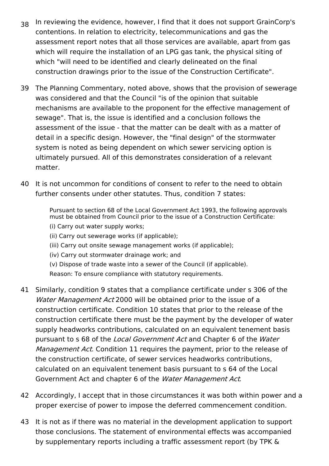- 38 In reviewing the evidence, however, I find that it does not support GrainCorp's contentions. In relation to electricity, telecommunications and gas the assessment report notes that all those services are available, apart from gas which will require the installation of an LPG gas tank, the physical siting of which "will need to be identified and clearly delineated on the final construction drawings prior to the issue of the Construction Certificate".
- 39 The Planning Commentary, noted above, shows that the provision of sewerage was considered and that the Council "is of the opinion that suitable mechanisms are available to the proponent for the effective management of sewage". That is, the issue is identified and a conclusion follows the assessment of the issue - that the matter can be dealt with as a matter of detail in a specific design. However, the "final design" of the stormwater system is noted as being dependent on which sewer servicing option is ultimately pursued. All of this demonstrates consideration of a relevant matter.
- 40 It is not uncommon for conditions of consent to refer to the need to obtain further consents under other statutes. Thus, condition 7 states:

Pursuant to section 68 of the Local Government Act 1993, the following approvals must be obtained from Council prior to the issue of a Construction Certificate:

(i) Carry out water supply works;

(ii) Carry out sewerage works (if applicable);

- (iii) Carry out onsite sewage management works (if applicable);
- (iv) Carry out stormwater drainage work; and
- (v) Dispose of trade waste into a sewer of the Council (if applicable).

Reason: To ensure compliance with statutory requirements.

- 41 Similarly, condition 9 states that a compliance certificate under s 306 of the Water Management Act 2000 will be obtained prior to the issue of a construction certificate. Condition 10 states that prior to the release of the construction certificate there must be the payment by the developer of water supply headworks contributions, calculated on an equivalent tenement basis pursuant to s 68 of the Local Government Act and Chapter 6 of the Water Management Act. Condition 11 requires the payment, prior to the release of the construction certificate, of sewer services headworks contributions, calculated on an equivalent tenement basis pursuant to s 64 of the Local Government Act and chapter 6 of the Water Management Act.
- 42 Accordingly, I accept that in those circumstances it was both within power and a proper exercise of power to impose the deferred commencement condition.
- 43 It is not as if there was no material in the development application to support those conclusions. The statement of environmental effects was accompanied by supplementary reports including a traffic assessment report (by TPK &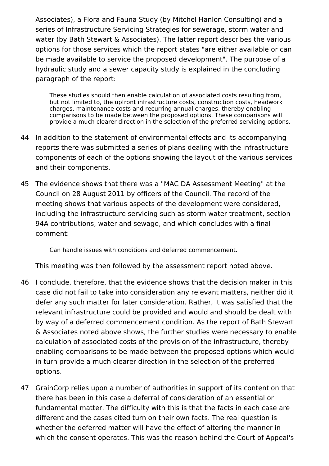Associates), a Flora and Fauna Study (by Mitchel Hanlon Consulting) and a series of Infrastructure Servicing Strategies for sewerage, storm water and water (by Bath Stewart & Associates). The latter report describes the various options for those services which the report states "are either available or can be made available to service the proposed development". The purpose of a hydraulic study and a sewer capacity study is explained in the concluding paragraph of the report:

These studies should then enable calculation of associated costs resulting from, but not limited to, the upfront infrastructure costs, construction costs, headwork charges, maintenance costs and recurring annual charges, thereby enabling comparisons to be made between the proposed options. These comparisons will provide a much clearer direction in the selection of the preferred servicing options.

- 44 In addition to the statement of environmental effects and its accompanying reports there was submitted a series of plans dealing with the infrastructure components of each of the options showing the layout of the various services and their components.
- 45 The evidence shows that there was a "MAC DA Assessment Meeting" at the Council on 28 August 2011 by officers of the Council. The record of the meeting shows that various aspects of the development were considered, including the infrastructure servicing such as storm water treatment, section 94A contributions, water and sewage, and which concludes with a final comment:

Can handle issues with conditions and deferred commencement.

This meeting was then followed by the assessment report noted above.

- 46 I conclude, therefore, that the evidence shows that the decision maker in this case did not fail to take into consideration any relevant matters, neither did it defer any such matter for later consideration. Rather, it was satisfied that the relevant infrastructure could be provided and would and should be dealt with by way of a deferred commencement condition. As the report of Bath Stewart & Associates noted above shows, the further studies were necessary to enable calculation of associated costs of the provision of the infrastructure, thereby enabling comparisons to be made between the proposed options which would in turn provide a much clearer direction in the selection of the preferred options.
- 47 GrainCorp relies upon a number of authorities in support of its contention that there has been in this case a deferral of consideration of an essential or fundamental matter. The difficulty with this is that the facts in each case are different and the cases cited turn on their own facts. The real question is whether the deferred matter will have the effect of altering the manner in which the consent operates. This was the reason behind the Court of Appeal's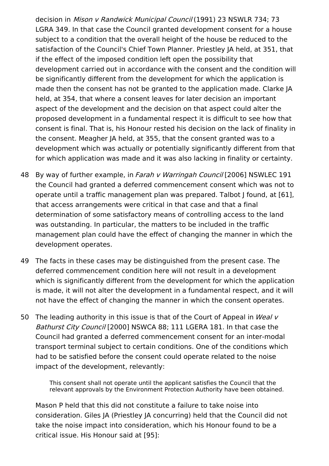decision in Mison <sup>v</sup> Randwick Municipal Council (1991) 23 NSWLR 734; 73 LGRA 349. In that case the Council granted development consent for a house subject to a condition that the overall height of the house be reduced to the satisfaction of the Council's Chief Town Planner. Priestley JA held, at 351, that if the effect of the imposed condition left open the possibility that development carried out in accordance with the consent and the condition will be significantly different from the development for which the application is made then the consent has not be granted to the application made. Clarke JA held, at 354, that where a consent leaves for later decision an important aspect of the development and the decision on that aspect could alter the proposed development in a fundamental respect it is difficult to see how that consent is final. That is, his Honour rested his decision on the lack of finality in the consent. Meagher JA held, at 355, that the consent granted was to a development which was actually or potentially significantly different from that for which application was made and it was also lacking in finality or certainty.

- 48 By way of further example, in Farah v Warringah Council [2006] NSWLEC 191 the Council had granted a deferred commencement consent which was not to operate until a traffic management plan was prepared. Talbot J found, at [61], that access arrangements were critical in that case and that a final determination of some satisfactory means of controlling access to the land was outstanding. In particular, the matters to be included in the traffic management plan could have the effect of changing the manner in which the development operates.
- 49 The facts in these cases may be distinguished from the present case. The deferred commencement condition here will not result in a development which is significantly different from the development for which the application is made, it will not alter the development in a fundamental respect, and it will not have the effect of changing the manner in which the consent operates.
- 50 The leading authority in this issue is that of the Court of Appeal in *Weal v* Bathurst City Council [2000] NSWCA 88; 111 LGERA 181. In that case the Council had granted a deferred commencement consent for an inter-modal transport terminal subject to certain conditions. One of the conditions which had to be satisfied before the consent could operate related to the noise impact of the development, relevantly:

This consent shall not operate until the applicant satisfies the Council that the relevant approvals by the Environment Protection Authority have been obtained.

Mason P held that this did not constitute a failure to take noise into consideration. Giles JA (Priestley JA concurring) held that the Council did not take the noise impact into consideration, which his Honour found to be a critical issue. His Honour said at [95]: